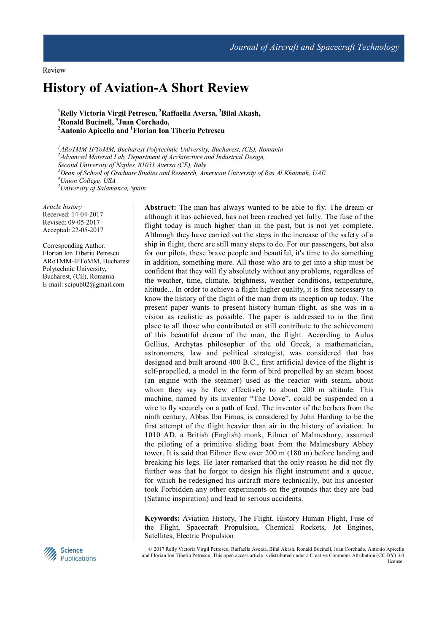Review

# **History of Aviation-A Short Review**

**<sup>1</sup>Relly Victoria Virgil Petrescu, <sup>2</sup>Raffaella Aversa, <sup>3</sup>Bilal Akash, <sup>4</sup>Ronald Bucinell, <sup>5</sup> Juan Corchado, <sup>2</sup>Antonio Apicella and <sup>1</sup>Florian Ion Tiberiu Petrescu**

*ARoTMM-IFToMM, Bucharest Polytechnic University, Bucharest, (CE), Romania Advanced Material Lab, Department of Architecture and Industrial Design, Second University of Naples, 81031 Aversa (CE), Italy Dean of School of Graduate Studies and Research, American University of Ras Al Khaimah, UAE Union College, USA University of Salamanca, Spain* 

*Article history* Received: 14-04-2017 Revised: 09-05-2017 Accepted: 22-05-2017

Corresponding Author: Florian Ion Tiberiu Petrescu ARoTMM-IFToMM, Bucharest Polytechnic University, Bucharest, (CE), Romania E-mail: scipub02@gmail.com

**Abstract:** The man has always wanted to be able to fly. The dream or although it has achieved, has not been reached yet fully. The fuse of the flight today is much higher than in the past, but is not yet complete. Although they have carried out the steps in the increase of the safety of a ship in flight, there are still many steps to do. For our passengers, but also for our pilots, these brave people and beautiful, it's time to do something in addition, something more. All those who are to get into a ship must be confident that they will fly absolutely without any problems, regardless of the weather, time, climate, brightness, weather conditions, temperature, altitude... In order to achieve a flight higher quality, it is first necessary to know the history of the flight of the man from its inception up today. The present paper wants to present history human flight, as she was in a vision as realistic as possible. The paper is addressed to in the first place to all those who contributed or still contribute to the achievement of this beautiful dream of the man, the flight. According to Aulus Gellius, Archytas philosopher of the old Greek, a mathematician, astronomers, law and political strategist, was considered that has designed and built around 400 B.C., first artificial device of the flight is self-propelled, a model in the form of bird propelled by an steam boost (an engine with the steamer) used as the reactor with steam, about whom they say he flew effectively to about 200 m altitude. This machine, named by its inventor "The Dove", could be suspended on a wire to fly securely on a path of feed. The inventor of the berbers from the ninth century, Abbas Ibn Firnas, is considered by John Harding to be the first attempt of the flight heavier than air in the history of aviation. In 1010 AD, a British (English) monk, Eilmer of Malmesbury, assumed the piloting of a primitive sliding boat from the Malmesbury Abbey tower. It is said that Eilmer flew over 200 m (180 m) before landing and breaking his legs. He later remarked that the only reason he did not fly further was that he forgot to design his flight instrument and a queue, for which he redesigned his aircraft more technically, but his ancestor took Forbidden any other experiments on the grounds that they are bad (Satanic inspiration) and lead to serious accidents.

**Keywords:** Aviation History, The Flight, History Human Flight, Fuse of the Flight, Spacecraft Propulsion, Chemical Rockets, Jet Engines, Satellites, Electric Propulsion



 © 2017 Relly Victoria Virgil Petrescu, Raffaella Aversa, Bilal Akash, Ronald Bucinell, Juan Corchado, Antonio Apicella and Florian Ion Tiberiu Petrescu. This open access article is distributed under a Creative Commons Attribution (CC-BY) 3.0 license.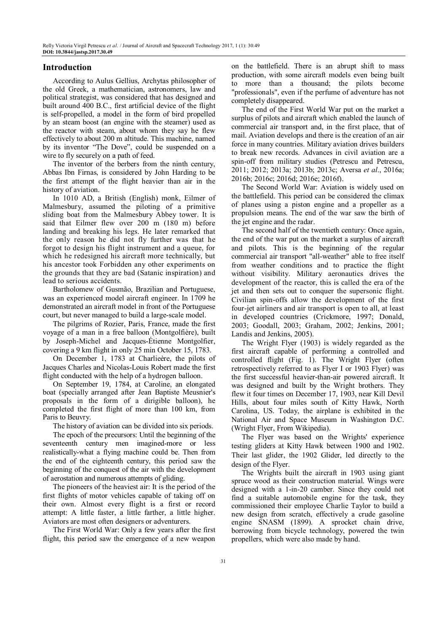## **Introduction**

According to Aulus Gellius, Archytas philosopher of the old Greek, a mathematician, astronomers, law and political strategist, was considered that has designed and built around 400 B.C., first artificial device of the flight is self-propelled, a model in the form of bird propelled by an steam boost (an engine with the steamer) used as the reactor with steam, about whom they say he flew effectively to about 200 m altitude. This machine, named by its inventor "The Dove", could be suspended on a wire to fly securely on a path of feed.

The inventor of the berbers from the ninth century, Abbas Ibn Firnas, is considered by John Harding to be the first attempt of the flight heavier than air in the history of aviation.

In 1010 AD, a British (English) monk, Eilmer of Malmesbury, assumed the piloting of a primitive sliding boat from the Malmesbury Abbey tower. It is said that Eilmer flew over 200 m (180 m) before landing and breaking his legs. He later remarked that the only reason he did not fly further was that he forgot to design his flight instrument and a queue, for which he redesigned his aircraft more technically, but his ancestor took Forbidden any other experiments on the grounds that they are bad (Satanic inspiration) and lead to serious accidents.

Bartholomew of Gusmão, Brazilian and Portuguese, was an experienced model aircraft engineer. In 1709 he demonstrated an aircraft model in front of the Portuguese court, but never managed to build a large-scale model.

The pilgrims of Rozier, Paris, France, made the first voyage of a man in a free balloon (Montgolfière), built by Joseph-Michel and Jacques-Étienne Montgolfier, covering a 9 km flight in only 25 min October 15, 1783.

On December 1, 1783 at Charlieère, the pilots of Jacques Charles and Nicolas-Louis Robert made the first flight conducted with the help of a hydrogen balloon.

On September 19, 1784, at Caroline, an elongated boat (specially arranged after Jean Baptiste Meusnier's proposals in the form of a dirigible balloon), he completed the first flight of more than 100 km, from Paris to Beuvry.

The history of aviation can be divided into six periods.

The epoch of the precursors: Until the beginning of the seventeenth century men imagined-more or less realistically-what a flying machine could be. Then from the end of the eighteenth century, this period saw the beginning of the conquest of the air with the development of aerostation and numerous attempts of gliding.

The pioneers of the heaviest air: It is the period of the first flights of motor vehicles capable of taking off on their own. Almost every flight is a first or record attempt: A little faster, a little farther, a little higher. Aviators are most often designers or adventurers.

The First World War: Only a few years after the first flight, this period saw the emergence of a new weapon on the battlefield. There is an abrupt shift to mass production, with some aircraft models even being built to more than a thousand; the pilots become "professionals", even if the perfume of adventure has not completely disappeared.

The end of the First World War put on the market a surplus of pilots and aircraft which enabled the launch of commercial air transport and, in the first place, that of mail. Aviation develops and there is the creation of an air force in many countries. Military aviation drives builders to break new records. Advances in civil aviation are a spin-off from military studies (Petrescu and Petrescu, 2011; 2012; 2013a; 2013b; 2013c; Aversa *et al*., 2016a; 2016b; 2016c; 2016d; 2016e; 2016f).

The Second World War: Aviation is widely used on the battlefield. This period can be considered the climax of planes using a piston engine and a propeller as a propulsion means. The end of the war saw the birth of the jet engine and the radar.

The second half of the twentieth century: Once again, the end of the war put on the market a surplus of aircraft and pilots. This is the beginning of the regular commercial air transport "all-weather" able to free itself from weather conditions and to practice the flight without visibility. Military aeronautics drives the development of the reactor, this is called the era of the jet and then sets out to conquer the supersonic flight. Civilian spin-offs allow the development of the first four-jet airliners and air transport is open to all, at least in developed countries (Crickmore, 1997; Donald, 2003; Goodall, 2003; Graham, 2002; Jenkins, 2001; Landis and Jenkins, 2005).

The Wright Flyer (1903) is widely regarded as the first aircraft capable of performing a controlled and controlled flight (Fig. 1). The Wright Flyer (often retrospectively referred to as Flyer I or 1903 Flyer) was the first successful heavier-than-air powered aircraft. It was designed and built by the Wright brothers. They flew it four times on December 17, 1903, near Kill Devil Hills, about four miles south of Kitty Hawk, North Carolina, US. Today, the airplane is exhibited in the National Air and Space Museum in Washington D.C. (Wright Flyer, From Wikipedia).

The Flyer was based on the Wrights' experience testing gliders at Kitty Hawk between 1900 and 1902. Their last glider, the 1902 Glider, led directly to the design of the Flyer.

The Wrights built the aircraft in 1903 using giant spruce wood as their construction material. Wings were designed with a 1-in-20 camber. Since they could not find a suitable automobile engine for the task, they commissioned their employee Charlie Taylor to build a new design from scratch, effectively a crude gasoline engine SNASM (1899). A sprocket chain drive, borrowing from bicycle technology, powered the twin propellers, which were also made by hand.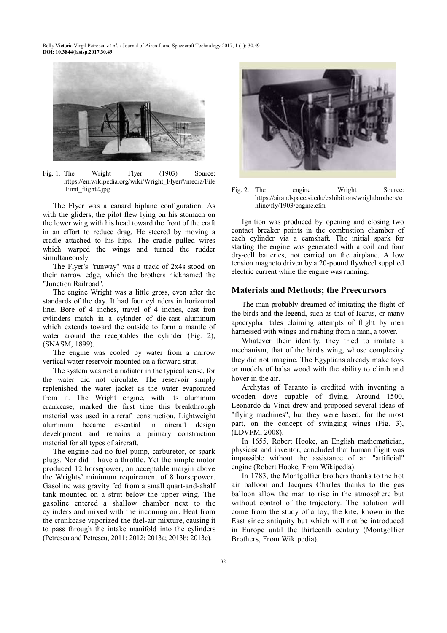Relly Victoria Virgil Petrescu *et al*. / Journal of Aircraft and Spacecraft Technology 2017, 1 (1): 30.49 **DOI: 10.3844/jastsp.2017.30.49** 



Fig. 1. The Wright Flyer (1903) Source: https://en.wikipedia.org/wiki/Wright\_Flyer#/media/File :First\_flight2.jpg

The Flyer was a canard biplane configuration. As with the gliders, the pilot flew lying on his stomach on the lower wing with his head toward the front of the craft in an effort to reduce drag. He steered by moving a cradle attached to his hips. The cradle pulled wires which warped the wings and turned the rudder simultaneously.

The Flyer's "runway" was a track of 2x4s stood on their narrow edge, which the brothers nicknamed the "Junction Railroad".

The engine Wright was a little gross, even after the standards of the day. It had four cylinders in horizontal line. Bore of 4 inches, travel of 4 inches, cast iron cylinders match in a cylinder of die-cast aluminum which extends toward the outside to form a mantle of water around the receptables the cylinder (Fig. 2), (SNASM, 1899).

The engine was cooled by water from a narrow vertical water reservoir mounted on a forward strut.

The system was not a radiator in the typical sense, for the water did not circulate. The reservoir simply replenished the water jacket as the water evaporated from it. The Wright engine, with its aluminum crankcase, marked the first time this breakthrough material was used in aircraft construction. Lightweight aluminum became essential in aircraft design development and remains a primary construction material for all types of aircraft.

The engine had no fuel pump, carburetor, or spark plugs. Nor did it have a throttle. Yet the simple motor produced 12 horsepower, an acceptable margin above the Wrights' minimum requirement of 8 horsepower. Gasoline was gravity fed from a small quart-and-ahalf tank mounted on a strut below the upper wing. The gasoline entered a shallow chamber next to the cylinders and mixed with the incoming air. Heat from the crankcase vaporized the fuel-air mixture, causing it to pass through the intake manifold into the cylinders (Petrescu and Petrescu, 2011; 2012; 2013a; 2013b; 2013c).



Fig. 2. The engine Wright Source: https://airandspace.si.edu/exhibitions/wrightbrothers/o nline/fly/1903/engine.cfm

Ignition was produced by opening and closing two contact breaker points in the combustion chamber of each cylinder via a camshaft. The initial spark for starting the engine was generated with a coil and four dry-cell batteries, not carried on the airplane. A low tension magneto driven by a 20-pound flywheel supplied electric current while the engine was running.

#### **Materials and Methods; the Preecursors**

The man probably dreamed of imitating the flight of the birds and the legend, such as that of Icarus, or many apocryphal tales claiming attempts of flight by men harnessed with wings and rushing from a man, a tower.

Whatever their identity, they tried to imitate a mechanism, that of the bird's wing, whose complexity they did not imagine. The Egyptians already make toys or models of balsa wood with the ability to climb and hover in the air.

Archytas of Taranto is credited with inventing a wooden dove capable of flying. Around 1500, Leonardo da Vinci drew and proposed several ideas of "flying machines", but they were based, for the most part, on the concept of swinging wings (Fig. 3), (LDVFM, 2008).

In 1655, Robert Hooke, an English mathematician, physicist and inventor, concluded that human flight was impossible without the assistance of an "artificial" engine (Robert Hooke, From Wikipedia).

In 1783, the Montgolfier brothers thanks to the hot air balloon and Jacques Charles thanks to the gas balloon allow the man to rise in the atmosphere but without control of the trajectory. The solution will come from the study of a toy, the kite, known in the East since antiquity but which will not be introduced in Europe until the thirteenth century (Montgolfier Brothers, From Wikipedia).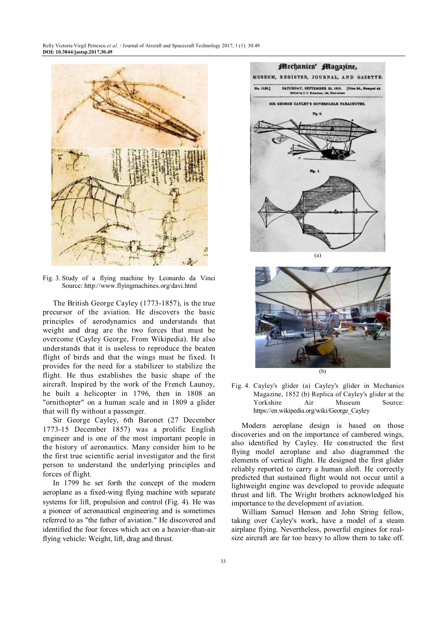

Fig. 3. Study of a flying machine by Leonardo da Vinci Source: http://www.flyingmachines.org/davi.html

The British George Cayley (1773-1857), is the true precursor of the aviation. He discovers the basic principles of aerodynamics and understands that weight and drag are the two forces that must be overcome (Cayley George, From Wikipedia). He also understands that it is useless to reproduce the beaten flight of birds and that the wings must be fixed. It provides for the need for a stabilizer to stabilize the flight. He thus establishes the basic shape of the aircraft. Inspired by the work of the French Launoy, he built a helicopter in 1796, then in 1808 an "ornithopter" on a human scale and in 1809 a glider that will fly without a passenger.

Sir George Cayley, 6th Baronet (27 December 1773-15 December 1857) was a prolific English engineer and is one of the most important people in the history of aeronautics. Many consider him to be the first true scientific aerial investigator and the first person to understand the underlying principles and forces of flight.

In 1799 he set forth the concept of the modern aeroplane as a fixed-wing flying machine with separate systems for lift, propulsion and control (Fig. 4). He was a pioneer of aeronautical engineering and is sometimes referred to as "the father of aviation." He discovered and identified the four forces which act on a heavier-than-air flying vehicle: Weight, lift, drag and thrust.



Fig. 4. Cayley's glider (a) Cayley's glider in Mechanics Magazine, 1852 (b) Replica of Cayley's glider at the Yorkshire Air Museum Source: https://en.wikipedia.org/wiki/George\_Cayley

Modern aeroplane design is based on those discoveries and on the importance of cambered wings, also identified by Cayley. He constructed the first flying model aeroplane and also diagrammed the elements of vertical flight. He designed the first glider reliably reported to carry a human aloft. He correctly predicted that sustained flight would not occur until a lightweight engine was developed to provide adequate thrust and lift. The Wright brothers acknowledged his importance to the development of aviation.

William Samuel Henson and John String fellow, taking over Cayley's work, have a model of a steam airplane flying. Nevertheless, powerful engines for realsize aircraft are far too heavy to allow them to take off.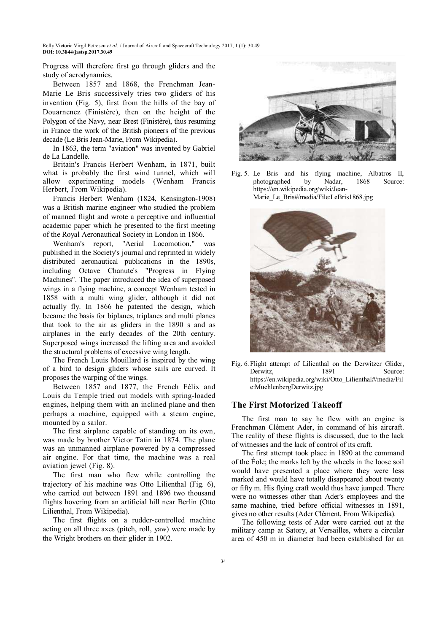Progress will therefore first go through gliders and the study of aerodynamics.

Between 1857 and 1868, the Frenchman Jean-Marie Le Bris successively tries two gliders of his invention (Fig. 5), first from the hills of the bay of Douarnenez (Finistère), then on the height of the Polygon of the Navy, near Brest (Finistère), thus resuming in France the work of the British pioneers of the previous decade (Le Bris Jean-Marie, From Wikipedia).

In 1863, the term "aviation" was invented by Gabriel de La Landelle.

Britain's Francis Herbert Wenham, in 1871, built what is probably the first wind tunnel, which will allow experimenting models (Wenham Francis Herbert, From Wikipedia).

Francis Herbert Wenham (1824, Kensington-1908) was a British marine engineer who studied the problem of manned flight and wrote a perceptive and influential academic paper which he presented to the first meeting of the Royal Aeronautical Society in London in 1866.

Wenham's report, "Aerial Locomotion," was published in the Society's journal and reprinted in widely distributed aeronautical publications in the 1890s, including Octave Chanute's "Progress in Flying Machines". The paper introduced the idea of superposed wings in a flying machine, a concept Wenham tested in 1858 with a multi wing glider, although it did not actually fly. In 1866 he patented the design, which became the basis for biplanes, triplanes and multi planes that took to the air as gliders in the 1890 s and as airplanes in the early decades of the 20th century. Superposed wings increased the lifting area and avoided the structural problems of excessive wing length.

The French Louis Mouillard is inspired by the wing of a bird to design gliders whose sails are curved. It proposes the warping of the wings.

Between 1857 and 1877, the French Félix and Louis du Temple tried out models with spring-loaded engines, helping them with an inclined plane and then perhaps a machine, equipped with a steam engine, mounted by a sailor.

The first airplane capable of standing on its own, was made by brother Victor Tatin in 1874. The plane was an unmanned airplane powered by a compressed air engine. For that time, the machine was a real aviation jewel (Fig. 8).

The first man who flew while controlling the trajectory of his machine was Otto Lilienthal (Fig. 6), who carried out between 1891 and 1896 two thousand flights hovering from an artificial hill near Berlin (Otto Lilienthal, From Wikipedia).

The first flights on a rudder-controlled machine acting on all three axes (pitch, roll, yaw) were made by the Wright brothers on their glider in 1902.



Fig. 5. Le Bris and his flying machine, Albatros II, photographed by Nadar, 1868 Source: https://en.wikipedia.org/wiki/Jean-Marie Le Bris#/media/File:LeBris1868.jpg



Fig. 6. Flight attempt of Lilienthal on the Derwitzer Glider, Derwitz, 1891 Source: https://en.wikipedia.org/wiki/Otto\_Lilienthal#/media/Fil e:MuehlenbergDerwitz.jpg

## **The First Motorized Takeoff**

The first man to say he flew with an engine is Frenchman Clément Ader, in command of his aircraft. The reality of these flights is discussed, due to the lack of witnesses and the lack of control of its craft.

The first attempt took place in 1890 at the command of the Éole; the marks left by the wheels in the loose soil would have presented a place where they were less marked and would have totally disappeared about twenty or fifty m. His flying craft would thus have jumped. There were no witnesses other than Ader's employees and the same machine, tried before official witnesses in 1891, gives no other results (Ader Clément, From Wikipedia).

The following tests of Ader were carried out at the military camp at Satory, at Versailles, where a circular area of 450 m in diameter had been established for an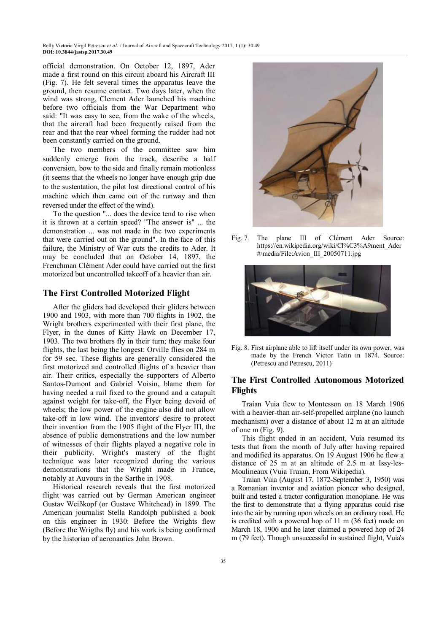official demonstration. On October 12, 1897, Ader made a first round on this circuit aboard his Aircraft III (Fig. 7). He felt several times the apparatus leave the ground, then resume contact. Two days later, when the wind was strong, Clement Ader launched his machine before two officials from the War Department who said: "It was easy to see, from the wake of the wheels, that the aircraft had been frequently raised from the rear and that the rear wheel forming the rudder had not been constantly carried on the ground.

The two members of the committee saw him suddenly emerge from the track, describe a half conversion, bow to the side and finally remain motionless (it seems that the wheels no longer have enough grip due to the sustentation, the pilot lost directional control of his machine which then came out of the runway and then reversed under the effect of the wind).

To the question "... does the device tend to rise when it is thrown at a certain speed? "The answer is" ... the demonstration ... was not made in the two experiments that were carried out on the ground". In the face of this failure, the Ministry of War cuts the credits to Ader. It may be concluded that on October 14, 1897, the Frenchman Clément Ader could have carried out the first motorized but uncontrolled takeoff of a heavier than air.

## **The First Controlled Motorized Flight**

After the gliders had developed their gliders between 1900 and 1903, with more than 700 flights in 1902, the Wright brothers experimented with their first plane, the Flyer, in the dunes of Kitty Hawk on December 17, 1903. The two brothers fly in their turn; they make four flights, the last being the longest: Orville flies on 284 m for 59 sec. These flights are generally considered the first motorized and controlled flights of a heavier than air. Their critics, especially the supporters of Alberto Santos-Dumont and Gabriel Voisin, blame them for having needed a rail fixed to the ground and a catapult against weight for take-off, the Flyer being devoid of wheels; the low power of the engine also did not allow take-off in low wind. The inventors' desire to protect their invention from the 1905 flight of the Flyer III, the absence of public demonstrations and the low number of witnesses of their flights played a negative role in their publicity. Wright's mastery of the flight technique was later recognized during the various demonstrations that the Wright made in France, notably at Auvours in the Sarthe in 1908.

Historical research reveals that the first motorized flight was carried out by German American engineer Gustav Weißkopf (or Gustave Whitehead) in 1899. The American journalist Stella Randolph published a book on this engineer in 1930: Before the Wrights flew (Before the Wrigths fly) and his work is being confirmed by the historian of aeronautics John Brown.



Fig. 7. The plane III of Clément Ader Source: https://en.wikipedia.org/wiki/Cl%C3%A9ment\_Ader #/media/File:Avion\_III\_20050711.jpg



Fig. 8. First airplane able to lift itself under its own power, was made by the French Victor Tatin in 1874. Source: (Petrescu and Petrescu, 2011)

# **The First Controlled Autonomous Motorized Flights**

Traian Vuia flew to Montesson on 18 March 1906 with a heavier-than air-self-propelled airplane (no launch mechanism) over a distance of about 12 m at an altitude of one m (Fig. 9).

This flight ended in an accident, Vuia resumed its tests that from the month of July after having repaired and modified its apparatus. On 19 August 1906 he flew a distance of 25 m at an altitude of 2.5 m at Issy-les-Moulineaux (Vuia Traian, From Wikipedia).

Traian Vuia (August 17, 1872-September 3, 1950) was a Romanian inventor and aviation pioneer who designed, built and tested a tractor configuration monoplane. He was the first to demonstrate that a flying apparatus could rise into the air by running upon wheels on an ordinary road. He is credited with a powered hop of 11 m (36 feet) made on March 18, 1906 and he later claimed a powered hop of 24 m (79 feet). Though unsuccessful in sustained flight, Vuia's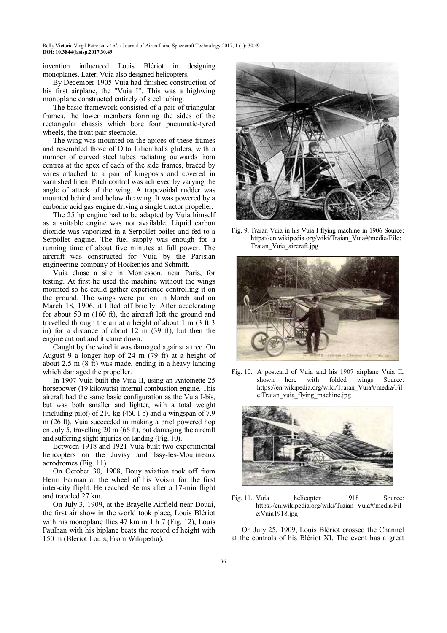invention influenced Louis Blériot in designing monoplanes. Later, Vuia also designed helicopters.

By December 1905 Vuia had finished construction of his first airplane, the "Vuia I". This was a highwing monoplane constructed entirely of steel tubing.

The basic framework consisted of a pair of triangular frames, the lower members forming the sides of the rectangular chassis which bore four pneumatic-tyred wheels, the front pair steerable.

The wing was mounted on the apices of these frames and resembled those of Otto Lilienthal's gliders, with a number of curved steel tubes radiating outwards from centres at the apex of each of the side frames, braced by wires attached to a pair of kingposts and covered in varnished linen. Pitch control was achieved by varying the angle of attack of the wing. A trapezoidal rudder was mounted behind and below the wing. It was powered by a carbonic acid gas engine driving a single tractor propeller.

The 25 hp engine had to be adapted by Vuia himself as a suitable engine was not available. Liquid carbon dioxide was vaporized in a Serpollet boiler and fed to a Serpollet engine. The fuel supply was enough for a running time of about five minutes at full power. The aircraft was constructed for Vuia by the Parisian engineering company of Hockenjos and Schmitt.

Vuia chose a site in Montesson, near Paris, for testing. At first he used the machine without the wings mounted so he could gather experience controlling it on the ground. The wings were put on in March and on March 18, 1906, it lifted off briefly. After accelerating for about 50 m (160 ft), the aircraft left the ground and travelled through the air at a height of about 1 m (3 ft 3 in) for a distance of about 12 m (39 ft), but then the engine cut out and it came down.

Caught by the wind it was damaged against a tree. On August 9 a longer hop of 24 m (79 ft) at a height of about 2.5 m (8 ft) was made, ending in a heavy landing which damaged the propeller.

In 1907 Vuia built the Vuia II, using an Antoinette 25 horsepower (19 kilowatts) internal combustion engine. This aircraft had the same basic configuration as the Vuia I-bis, but was both smaller and lighter, with a total weight (including pilot) of 210 kg  $(460 1 b)$  and a wingspan of 7.9 m (26 ft). Vuia succeeded in making a brief powered hop on July 5, travelling 20 m (66 ft), but damaging the aircraft and suffering slight injuries on landing (Fig. 10).

Between 1918 and 1921 Vuia built two experimental helicopters on the Juvisy and Issy-les-Moulineaux aerodromes (Fig. 11).

On October 30, 1908, Bouy aviation took off from Henri Farman at the wheel of his Voisin for the first inter-city flight. He reached Reims after a 17-min flight and traveled 27 km.

On July 3, 1909, at the Brayelle Airfield near Douai, the first air show in the world took place, Louis Blériot with his monoplane flies 47 km in 1 h 7 (Fig. 12), Louis Paulhan with his biplane beats the record of height with 150 m (Blériot Louis, From Wikipedia).



Fig. 9. Traian Vuia in his Vuia I flying machine in 1906 Source: https://en.wikipedia.org/wiki/Traian\_Vuia#/media/File: Traian\_Vuia\_aircraft.jpg



Fig. 10. A postcard of Vuia and his 1907 airplane Vuia II, shown here with folded wings Source: https://en.wikipedia.org/wiki/Traian\_Vuia#/media/Fil e:Traian\_vuia\_flying\_machine.jpg



Fig. 11. Vuia helicopter 1918 Source: https://en.wikipedia.org/wiki/Traian\_Vuia#/media/Fil e:Vuia1918.jpg

On July 25, 1909, Louis Blériot crossed the Channel at the controls of his Blériot XI. The event has a great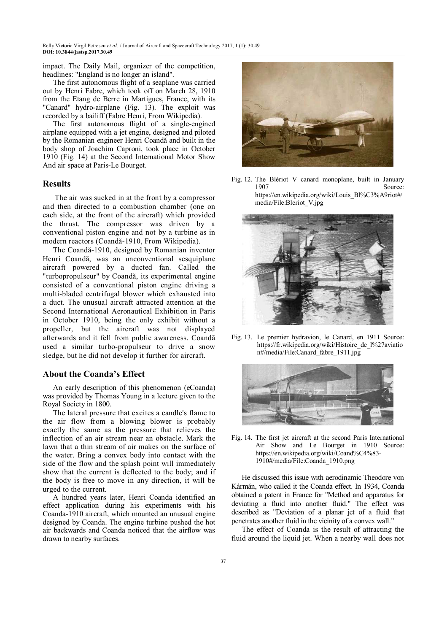impact. The Daily Mail, organizer of the competition, headlines: "England is no longer an island".

The first autonomous flight of a seaplane was carried out by Henri Fabre, which took off on March 28, 1910 from the Etang de Berre in Martigues, France, with its "Canard" hydro-airplane (Fig. 13). The exploit was recorded by a bailiff (Fabre Henri, From Wikipedia).

The first autonomous flight of a single-engined airplane equipped with a jet engine, designed and piloted by the Romanian engineer Henri Coandă and built in the body shop of Joachim Caproni, took place in October 1910 (Fig. 14) at the Second International Motor Show And air space at Paris-Le Bourget.

### **Results**

 The air was sucked in at the front by a compressor and then directed to a combustion chamber (one on each side, at the front of the aircraft) which provided the thrust. The compressor was driven by a conventional piston engine and not by a turbine as in modern reactors (Coandă-1910, From Wikipedia).

The Coandă-1910, designed by Romanian inventor Henri Coandă, was an unconventional sesquiplane aircraft powered by a ducted fan. Called the "turbopropulseur" by Coandă, its experimental engine consisted of a conventional piston engine driving a multi-bladed centrifugal blower which exhausted into a duct. The unusual aircraft attracted attention at the Second International Aeronautical Exhibition in Paris in October 1910, being the only exhibit without a propeller, but the aircraft was not displayed afterwards and it fell from public awareness. Coandă used a similar turbo-propulseur to drive a snow sledge, but he did not develop it further for aircraft.

## **About the Coanda's Effect**

An early description of this phenomenon (eCoanda) was provided by Thomas Young in a lecture given to the Royal Society in 1800.

The lateral pressure that excites a candle's flame to the air flow from a blowing blower is probably exactly the same as the pressure that relieves the inflection of an air stream near an obstacle. Mark the lawn that a thin stream of air makes on the surface of the water. Bring a convex body into contact with the side of the flow and the splash point will immediately show that the current is deflected to the body; and if the body is free to move in any direction, it will be urged to the current.

A hundred years later, Henri Coanda identified an effect application during his experiments with his Coanda-1910 aircraft, which mounted an unusual engine designed by Coanda. The engine turbine pushed the hot air backwards and Coanda noticed that the airflow was drawn to nearby surfaces.



Fig. 12. The Blériot V canard monoplane, built in January 1907 Source: https://en.wikipedia.org/wiki/Louis\_Bl%C3%A9riot#/ media/File:Bleriot\_V.jpg



Fig. 13. Le premier hydravion, le Canard, en 1911 Source: https://fr.wikipedia.org/wiki/Histoire\_de\_l%27aviatio n#/media/File:Canard\_fabre\_1911.jpg



Fig. 14. The first jet aircraft at the second Paris International Air Show and Le Bourget in 1910 Source: https://en.wikipedia.org/wiki/Coand%C4%83- 1910#/media/File:Coanda\_1910.png

He discussed this issue with aerodinamic Theodore von Kármán, who called it the Coanda effect. In 1934, Coanda obtained a patent in France for "Method and apparatus for deviating a fluid into another fluid." The effect was described as "Deviation of a planar jet of a fluid that penetrates another fluid in the vicinity of a convex wall."

The effect of Coanda is the result of attracting the fluid around the liquid jet. When a nearby wall does not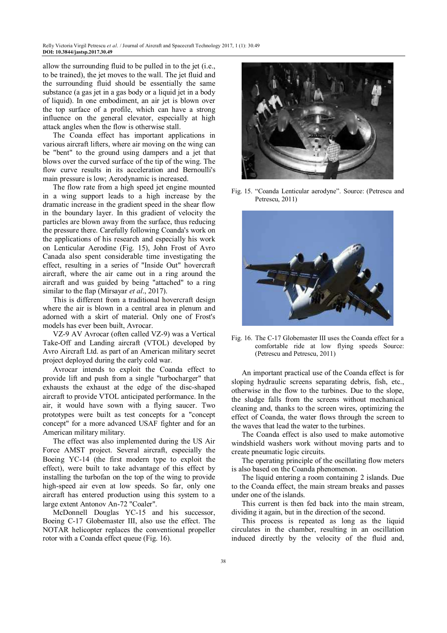allow the surrounding fluid to be pulled in to the jet (i.e., to be trained), the jet moves to the wall. The jet fluid and the surrounding fluid should be essentially the same substance (a gas jet in a gas body or a liquid jet in a body of liquid). In one embodiment, an air jet is blown over the top surface of a profile, which can have a strong influence on the general elevator, especially at high attack angles when the flow is otherwise stall.

The Coanda effect has important applications in various aircraft lifters, where air moving on the wing can be "bent" to the ground using dampers and a jet that blows over the curved surface of the tip of the wing. The flow curve results in its acceleration and Bernoulli's main pressure is low; Aerodynamic is increased.

The flow rate from a high speed jet engine mounted in a wing support leads to a high increase by the dramatic increase in the gradient speed in the shear flow in the boundary layer. In this gradient of velocity the particles are blown away from the surface, thus reducing the pressure there. Carefully following Coanda's work on the applications of his research and especially his work on Lenticular Aerodine (Fig. 15), John Frost of Avro Canada also spent considerable time investigating the effect, resulting in a series of "Inside Out" hovercraft aircraft, where the air came out in a ring around the aircraft and was guided by being "attached" to a ring similar to the flap (Mirsayar *et al*., 2017).

This is different from a traditional hovercraft design where the air is blown in a central area in plenum and adorned with a skirt of material. Only one of Frost's models has ever been built, Avrocar.

VZ-9 AV Avrocar (often called VZ-9) was a Vertical Take-Off and Landing aircraft (VTOL) developed by Avro Aircraft Ltd. as part of an American military secret project deployed during the early cold war.

Avrocar intends to exploit the Coanda effect to provide lift and push from a single "turbocharger" that exhausts the exhaust at the edge of the disc-shaped aircraft to provide VTOL anticipated performance. In the air, it would have sown with a flying saucer. Two prototypes were built as test concepts for a "concept concept" for a more advanced USAF fighter and for an American military military.

The effect was also implemented during the US Air Force AMST project. Several aircraft, especially the Boeing YC-14 (the first modern type to exploit the effect), were built to take advantage of this effect by installing the turbofan on the top of the wing to provide high-speed air even at low speeds. So far, only one aircraft has entered production using this system to a large extent Antonov An-72 "Coaler".

McDonnell Douglas YC-15 and his successor, Boeing C-17 Globemaster III, also use the effect. The NOTAR helicopter replaces the conventional propeller rotor with a Coanda effect queue (Fig. 16).



Fig. 15. "Coanda Lenticular aerodyne". Source: (Petrescu and Petrescu, 2011)



Fig. 16. The C-17 Globemaster III uses the Coanda effect for a comfortable ride at low flying speeds Source: (Petrescu and Petrescu, 2011)

An important practical use of the Coanda effect is for sloping hydraulic screens separating debris, fish, etc., otherwise in the flow to the turbines. Due to the slope, the sludge falls from the screens without mechanical cleaning and, thanks to the screen wires, optimizing the effect of Coanda, the water flows through the screen to the waves that lead the water to the turbines.

The Coanda effect is also used to make automotive windshield washers work without moving parts and to create pneumatic logic circuits.

The operating principle of the oscillating flow meters is also based on the Coanda phenomenon.

The liquid entering a room containing 2 islands. Due to the Coanda effect, the main stream breaks and passes under one of the islands.

This current is then fed back into the main stream, dividing it again, but in the direction of the second.

This process is repeated as long as the liquid circulates in the chamber, resulting in an oscillation induced directly by the velocity of the fluid and,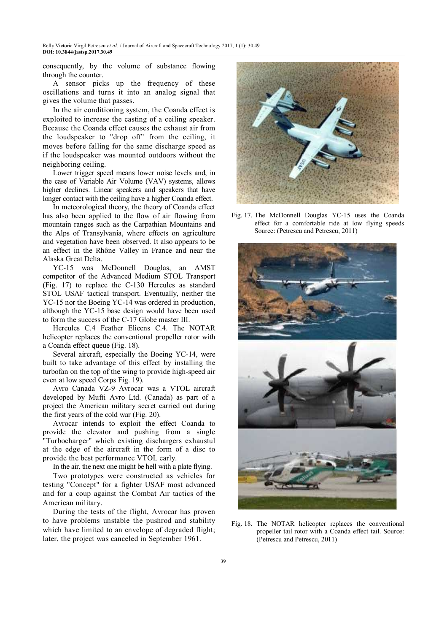consequently, by the volume of substance flowing through the counter.

A sensor picks up the frequency of these oscillations and turns it into an analog signal that gives the volume that passes.

In the air conditioning system, the Coanda effect is exploited to increase the casting of a ceiling speaker. Because the Coanda effect causes the exhaust air from the loudspeaker to "drop off" from the ceiling, it moves before falling for the same discharge speed as if the loudspeaker was mounted outdoors without the neighboring ceiling.

Lower trigger speed means lower noise levels and, in the case of Variable Air Volume (VAV) systems, allows higher declines. Linear speakers and speakers that have longer contact with the ceiling have a higher Coanda effect.

In meteorological theory, the theory of Coanda effect has also been applied to the flow of air flowing from mountain ranges such as the Carpathian Mountains and the Alps of Transylvania, where effects on agriculture and vegetation have been observed. It also appears to be an effect in the Rhône Valley in France and near the Alaska Great Delta.

YC-15 was McDonnell Douglas, an AMST competitor of the Advanced Medium STOL Transport (Fig. 17) to replace the C-130 Hercules as standard STOL USAF tactical transport. Eventually, neither the YC-15 nor the Boeing YC-14 was ordered in production, although the YC-15 base design would have been used to form the success of the C-17 Globe master III.

Hercules C.4 Feather Elicens C.4. The NOTAR helicopter replaces the conventional propeller rotor with a Coanda effect queue (Fig. 18).

Several aircraft, especially the Boeing YC-14, were built to take advantage of this effect by installing the turbofan on the top of the wing to provide high-speed air even at low speed Corps Fig. 19).

Avro Canada VZ-9 Avrocar was a VTOL aircraft developed by Mufti Avro Ltd. (Canada) as part of a project the American military secret carried out during the first years of the cold war (Fig. 20).

Avrocar intends to exploit the effect Coanda to provide the elevator and pushing from a single "Turbocharger" which existing dischargers exhaustul at the edge of the aircraft in the form of a disc to provide the best performance VTOL early.

In the air, the next one might be hell with a plate flying.

Two prototypes were constructed as vehicles for testing "Concept" for a fighter USAF most advanced and for a coup against the Combat Air tactics of the American military.

During the tests of the flight, Avrocar has proven to have problems unstable the pushrod and stability which have limited to an envelope of degraded flight; later, the project was canceled in September 1961.



Fig. 17. The McDonnell Douglas YC-15 uses the Coanda effect for a comfortable ride at low flying speeds Source: (Petrescu and Petrescu, 2011)



Fig. 18. The NOTAR helicopter replaces the conventional propeller tail rotor with a Coanda effect tail. Source: (Petrescu and Petrescu, 2011)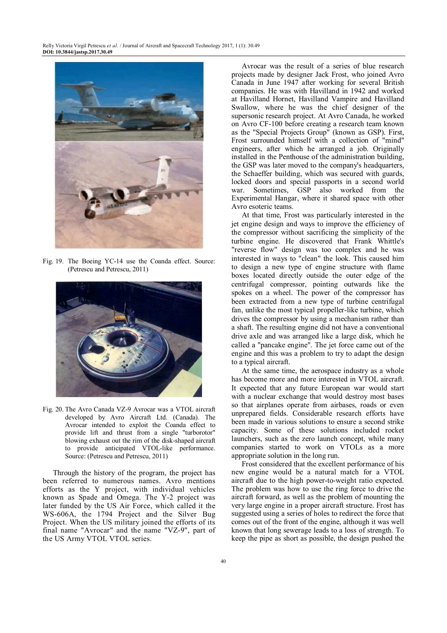

Fig. 19. The Boeing YC-14 use the Coanda effect. Source: (Petrescu and Petrescu, 2011)



Fig. 20. The Avro Canada VZ-9 Avrocar was a VTOL aircraft developed by Avro Aircraft Ltd. (Canada). The Avrocar intended to exploit the Coanda effect to provide lift and thrust from a single "turborotor" blowing exhaust out the rim of the disk-shaped aircraft to provide anticipated VTOL-like performance. Source: (Petrescu and Petrescu, 2011)

Through the history of the program, the project has been referred to numerous names. Avro mentions efforts as the Y project, with individual vehicles known as Spade and Omega. The Y-2 project was later funded by the US Air Force, which called it the WS-606A, the 1794 Project and the Silver Bug Project. When the US military joined the efforts of its final name "Avrocar" and the name "VZ-9", part of the US Army VTOL VTOL series.

Avrocar was the result of a series of blue research projects made by designer Jack Frost, who joined Avro Canada in June 1947 after working for several British companies. He was with Havilland in 1942 and worked at Havilland Hornet, Havilland Vampire and Havilland Swallow, where he was the chief designer of the supersonic research project. At Avro Canada, he worked on Avro CF-100 before creating a research team known as the "Special Projects Group" (known as GSP). First, Frost surrounded himself with a collection of "mind" engineers, after which he arranged a job. Originally installed in the Penthouse of the administration building, the GSP was later moved to the company's headquarters, the Schaeffer building, which was secured with guards, locked doors and special passports in a second world war. Sometimes, GSP also worked from the Experimental Hangar, where it shared space with other Avro esoteric teams.

At that time, Frost was particularly interested in the jet engine design and ways to improve the efficiency of the compressor without sacrificing the simplicity of the turbine engine. He discovered that Frank Whittle's "reverse flow" design was too complex and he was interested in ways to "clean" the look. This caused him to design a new type of engine structure with flame boxes located directly outside the outer edge of the centrifugal compressor, pointing outwards like the spokes on a wheel. The power of the compressor has been extracted from a new type of turbine centrifugal fan, unlike the most typical propeller-like turbine, which drives the compressor by using a mechanism rather than a shaft. The resulting engine did not have a conventional drive axle and was arranged like a large disk, which he called a "pancake engine". The jet force came out of the engine and this was a problem to try to adapt the design to a typical aircraft.

At the same time, the aerospace industry as a whole has become more and more interested in VTOL aircraft. It expected that any future European war would start with a nuclear exchange that would destroy most bases so that airplanes operate from airbases, roads or even unprepared fields. Considerable research efforts have been made in various solutions to ensure a second strike capacity. Some of these solutions included rocket launchers, such as the zero launch concept, while many companies started to work on VTOLs as a more appropriate solution in the long run.

Frost considered that the excellent performance of his new engine would be a natural match for a VTOL aircraft due to the high power-to-weight ratio expected. The problem was how to use the ring force to drive the aircraft forward, as well as the problem of mounting the very large engine in a proper aircraft structure. Frost has suggested using a series of holes to redirect the force that comes out of the front of the engine, although it was well known that long sewerage leads to a loss of strength. To keep the pipe as short as possible, the design pushed the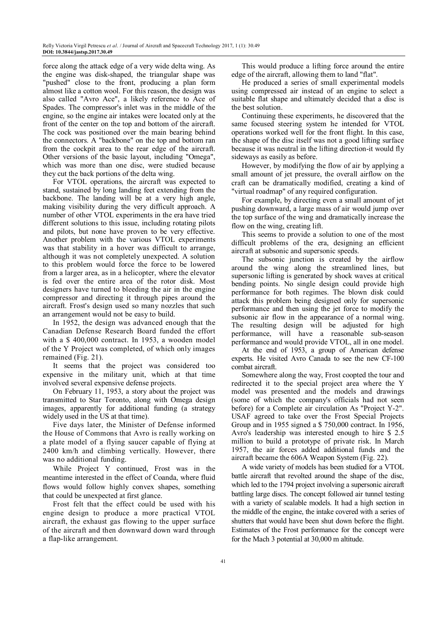force along the attack edge of a very wide delta wing. As the engine was disk-shaped, the triangular shape was "pushed" close to the front, producing a plan form almost like a cotton wool. For this reason, the design was also called "Avro Ace", a likely reference to Ace of Spades. The compressor's inlet was in the middle of the engine, so the engine air intakes were located only at the front of the center on the top and bottom of the aircraft. The cock was positioned over the main bearing behind the connectors. A "backbone" on the top and bottom ran from the cockpit area to the rear edge of the aircraft. Other versions of the basic layout, including "Omega", which was more than one disc, were studied because they cut the back portions of the delta wing.

For VTOL operations, the aircraft was expected to stand, sustained by long landing feet extending from the backbone. The landing will be at a very high angle, making visibility during the very difficult approach. A number of other VTOL experiments in the era have tried different solutions to this issue, including rotating pilots and pilots, but none have proven to be very effective. Another problem with the various VTOL experiments was that stability in a hover was difficult to arrange, although it was not completely unexpected. A solution to this problem would force the force to be lowered from a larger area, as in a helicopter, where the elevator is fed over the entire area of the rotor disk. Most designers have turned to bleeding the air in the engine compressor and directing it through pipes around the aircraft. Frost's design used so many nozzles that such an arrangement would not be easy to build.

In 1952, the design was advanced enough that the Canadian Defense Research Board funded the effort with a \$ 400,000 contract. In 1953, a wooden model of the Y Project was completed, of which only images remained (Fig. 21).

It seems that the project was considered too expensive in the military unit, which at that time involved several expensive defense projects.

On February 11, 1953, a story about the project was transmitted to Star Toronto, along with Omega design images, apparently for additional funding (a strategy widely used in the US at that time).

Five days later, the Minister of Defense informed the House of Commons that Avro is really working on a plate model of a flying saucer capable of flying at 2400 km/h and climbing vertically. However, there was no additional funding.

While Project Y continued, Frost was in the meantime interested in the effect of Coanda, where fluid flows would follow highly convex shapes, something that could be unexpected at first glance.

Frost felt that the effect could be used with his engine design to produce a more practical VTOL aircraft, the exhaust gas flowing to the upper surface of the aircraft and then downward down ward through a flap-like arrangement.

This would produce a lifting force around the entire edge of the aircraft, allowing them to land "flat".

He produced a series of small experimental models using compressed air instead of an engine to select a suitable flat shape and ultimately decided that a disc is the best solution.

Continuing these experiments, he discovered that the same focused steering system he intended for VTOL operations worked well for the front flight. In this case, the shape of the disc itself was not a good lifting surface because it was neutral in the lifting direction-it would fly sideways as easily as before.

However, by modifying the flow of air by applying a small amount of jet pressure, the overall airflow on the craft can be dramatically modified, creating a kind of "virtual roadmap" of any required configuration.

For example, by directing even a small amount of jet pushing downward, a large mass of air would jump over the top surface of the wing and dramatically increase the flow on the wing, creating lift.

This seems to provide a solution to one of the most difficult problems of the era, designing an efficient aircraft at subsonic and supersonic speeds.

The subsonic junction is created by the airflow around the wing along the streamlined lines, but supersonic lifting is generated by shock waves at critical bending points. No single design could provide high performance for both regimes. The blown disk could attack this problem being designed only for supersonic performance and then using the jet force to modify the subsonic air flow in the appearance of a normal wing. The resulting design will be adjusted for high performance, will have a reasonable sub-season performance and would provide VTOL, all in one model.

At the end of 1953, a group of American defense experts. He visited Avro Canada to see the new CF-100 combat aircraft.

Somewhere along the way, Frost coopted the tour and redirected it to the special project area where the Y model was presented and the models and drawings (some of which the company's officials had not seen before) for a Complete air circulation As "Project Y-2". USAF agreed to take over the Frost Special Projects Group and in 1955 signed a \$ 750,000 contract. In 1956, Avro's leadership was interested enough to hire \$ 2.5 million to build a prototype of private risk. In March 1957, the air forces added additional funds and the aircraft became the 606A Weapon System (Fig. 22).

A wide variety of models has been studied for a VTOL battle aircraft that revolted around the shape of the disc, which led to the 1794 project involving a supersonic aircraft battling large discs. The concept followed air tunnel testing with a variety of scalable models. It had a high section in the middle of the engine, the intake covered with a series of shutters that would have been shut down before the flight. Estimates of the Frost performance for the concept were for the Mach 3 potential at 30,000 m altitude.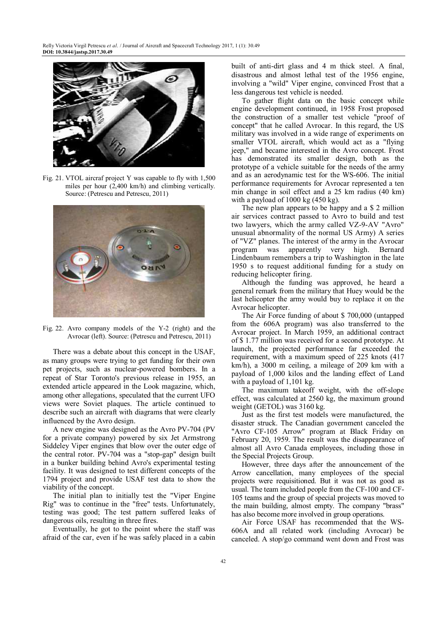

Fig. 21. VTOL aircraf project Y was capable to fly with 1,500 miles per hour (2,400 km/h) and climbing vertically. Source: (Petrescu and Petrescu, 2011)



Fig. 22. Avro company models of the Y-2 (right) and the Avrocar (left). Source: (Petrescu and Petrescu, 2011)

There was a debate about this concept in the USAF, as many groups were trying to get funding for their own pet projects, such as nuclear-powered bombers. In a repeat of Star Toronto's previous release in 1955, an extended article appeared in the Look magazine, which, among other allegations, speculated that the current UFO views were Soviet plaques. The article continued to describe such an aircraft with diagrams that were clearly influenced by the Avro design.

A new engine was designed as the Avro PV-704 (PV for a private company) powered by six Jet Armstrong Siddeley Viper engines that blow over the outer edge of the central rotor. PV-704 was a "stop-gap" design built in a bunker building behind Avro's experimental testing facility. It was designed to test different concepts of the 1794 project and provide USAF test data to show the viability of the concept.

The initial plan to initially test the "Viper Engine Rig" was to continue in the "free" tests. Unfortunately, testing was good; The test pattern suffered leaks of dangerous oils, resulting in three fires.

Eventually, he got to the point where the staff was afraid of the car, even if he was safely placed in a cabin built of anti-dirt glass and 4 m thick steel. A final, disastrous and almost lethal test of the 1956 engine, involving a "wild" Viper engine, convinced Frost that a less dangerous test vehicle is needed.

To gather flight data on the basic concept while engine development continued, in 1958 Frost proposed the construction of a smaller test vehicle "proof of concept" that he called Avrocar. In this regard, the US military was involved in a wide range of experiments on smaller VTOL aircraft, which would act as a "flying jeep," and became interested in the Avro concept. Frost has demonstrated its smaller design, both as the prototype of a vehicle suitable for the needs of the army and as an aerodynamic test for the WS-606. The initial performance requirements for Avrocar represented a ten min change in soil effect and a 25 km radius (40 km) with a payload of 1000 kg (450 kg).

The new plan appears to be happy and a \$ 2 million air services contract passed to Avro to build and test two lawyers, which the army called VZ-9-AV "Avro" unusual abnormality of the normal US Army) A series of "VZ" planes. The interest of the army in the Avrocar program was apparently very high. Bernard Lindenbaum remembers a trip to Washington in the late 1950 s to request additional funding for a study on reducing helicopter firing.

Although the funding was approved, he heard a general remark from the military that Huey would be the last helicopter the army would buy to replace it on the Avrocar helicopter.

The Air Force funding of about \$ 700,000 (untapped from the 606A program) was also transferred to the Avrocar project. In March 1959, an additional contract of \$ 1.77 million was received for a second prototype. At launch, the projected performance far exceeded the requirement, with a maximum speed of 225 knots (417 km/h), a 3000 m ceiling, a mileage of 209 km with a payload of 1,000 kilos and the landing effect of Land with a payload of 1,101 kg.

The maximum takeoff weight, with the off-slope effect, was calculated at 2560 kg, the maximum ground weight (GETOL) was 3160 kg.

Just as the first test models were manufactured, the disaster struck. The Canadian government canceled the "Avro CF-105 Arrow" program at Black Friday on February 20, 1959. The result was the disappearance of almost all Avro Canada employees, including those in the Special Projects Group.

However, three days after the announcement of the Arrow cancellation, many employees of the special projects were requisitioned. But it was not as good as usual. The team included people from the CF-100 and CF-105 teams and the group of special projects was moved to the main building, almost empty. The company "brass" has also become more involved in group operations.

Air Force USAF has recommended that the WS-606A and all related work (including Avrocar) be canceled. A stop/go command went down and Frost was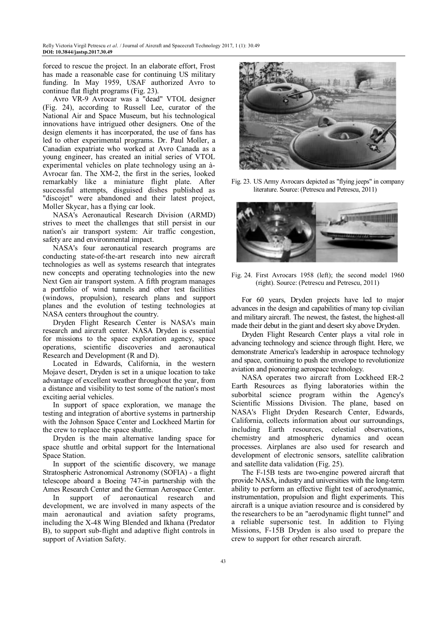forced to rescue the project. In an elaborate effort, Frost has made a reasonable case for continuing US military funding. In May 1959, USAF authorized Avro to continue flat flight programs (Fig. 23).

Avro VR-9 Avrocar was a "dead" VTOL designer (Fig. 24), according to Russell Lee, curator of the National Air and Space Museum, but his technological innovations have intrigued other designers. One of the design elements it has incorporated, the use of fans has led to other experimental programs. Dr. Paul Moller, a Canadian expatriate who worked at Avro Canada as a young engineer, has created an initial series of VTOL experimental vehicles on plate technology using an à-Avrocar fan. The XM-2, the first in the series, looked remarkably like a miniature flight plate. After successful attempts, disguised dishes published as "discojet" were abandoned and their latest project, Moller Skycar, has a flying car look.

NASA's Aeronautical Research Division (ARMD) strives to meet the challenges that still persist in our nation's air transport system: Air traffic congestion, safety are and environmental impact.

NASA's four aeronautical research programs are conducting state-of-the-art research into new aircraft technologies as well as systems research that integrates new concepts and operating technologies into the new Next Gen air transport system. A fifth program manages a portfolio of wind tunnels and other test facilities (windows, propulsion), research plans and support planes and the evolution of testing technologies at NASA centers throughout the country.

Dryden Flight Research Center is NASA's main research and aircraft center. NASA Dryden is essential for missions to the space exploration agency, space operations, scientific discoveries and aeronautical Research and Development (R and D).

Located in Edwards, California, in the western Mojave desert, Dryden is set in a unique location to take advantage of excellent weather throughout the year, from a distance and visibility to test some of the nation's most exciting aerial vehicles.

In support of space exploration, we manage the testing and integration of abortive systems in partnership with the Johnson Space Center and Lockheed Martin for the crew to replace the space shuttle.

Dryden is the main alternative landing space for space shuttle and orbital support for the International Space Station.

In support of the scientific discovery, we manage Stratospheric Astronomical Astronomy (SOFIA) - a flight telescope aboard a Boeing 747-in partnership with the Ames Research Center and the German Aerospace Center.

In support of aeronautical research and development, we are involved in many aspects of the main aeronautical and aviation safety programs, including the X-48 Wing Blended and Ikhana (Predator B), to support sub-flight and adaptive flight controls in support of Aviation Safety.



Fig. 23. US Army Avrocars depicted as "flying jeeps" in company literature. Source: (Petrescu and Petrescu, 2011)



Fig. 24. First Avrocars 1958 (left); the second model 1960 (right). Source: (Petrescu and Petrescu, 2011)

For 60 years, Dryden projects have led to major advances in the design and capabilities of many top civilian and military aircraft. The newest, the fastest, the highest-all made their debut in the giant and desert sky above Dryden.

Dryden Flight Research Center plays a vital role in advancing technology and science through flight. Here, we demonstrate America's leadership in aerospace technology and space, continuing to push the envelope to revolutionize aviation and pioneering aerospace technology.

NASA operates two aircraft from Lockheed ER-2 Earth Resources as flying laboratories within the suborbital science program within the Agency's Scientific Missions Division. The plane, based on NASA's Flight Dryden Research Center, Edwards, California, collects information about our surroundings, including Earth resources, celestial observations, chemistry and atmospheric dynamics and ocean processes. Airplanes are also used for research and development of electronic sensors, satellite calibration and satellite data validation (Fig. 25).

The F-15B tests are two-engine powered aircraft that provide NASA, industry and universities with the long-term ability to perform an effective flight test of aerodynamic, instrumentation, propulsion and flight experiments. This aircraft is a unique aviation resource and is considered by the researchers to be an "aerodynamic flight tunnel" and a reliable supersonic test. In addition to Flying Missions, F-15B Dryden is also used to prepare the crew to support for other research aircraft.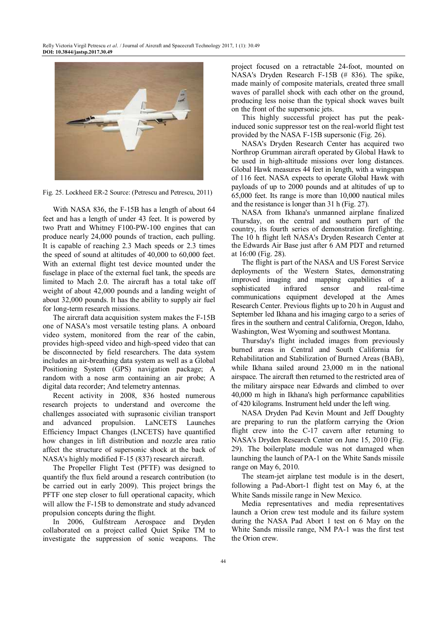

Fig. 25. Lockheed ER-2 Source: (Petrescu and Petrescu, 2011)

With NASA 836, the F-15B has a length of about 64 feet and has a length of under 43 feet. It is powered by two Pratt and Whitney F100-PW-100 engines that can produce nearly 24,000 pounds of traction, each pulling. It is capable of reaching 2.3 Mach speeds or 2.3 times the speed of sound at altitudes of 40,000 to 60,000 feet. With an external flight test device mounted under the fuselage in place of the external fuel tank, the speeds are limited to Mach 2.0. The aircraft has a total take off weight of about 42,000 pounds and a landing weight of about 32,000 pounds. It has the ability to supply air fuel for long-term research missions.

The aircraft data acquisition system makes the F-15B one of NASA's most versatile testing plans. A onboard video system, monitored from the rear of the cabin, provides high-speed video and high-speed video that can be disconnected by field researchers. The data system includes an air-breathing data system as well as a Global Positioning System (GPS) navigation package; A random with a nose arm containing an air probe; A digital data recorder; And telemetry antennas.

Recent activity in 2008, 836 hosted numerous research projects to understand and overcome the challenges associated with suprasonic civilian transport and advanced propulsion. LaNCETS Launches Efficiency Impact Changes (LNCETS) have quantified how changes in lift distribution and nozzle area ratio affect the structure of supersonic shock at the back of NASA's highly modified F-15 (837) research aircraft.

The Propeller Flight Test (PFTF) was designed to quantify the flux field around a research contribution (to be carried out in early 2009). This project brings the PFTF one step closer to full operational capacity, which will allow the F-15B to demonstrate and study advanced propulsion concepts during the flight.

In 2006, Gulfstream Aerospace and Dryden collaborated on a project called Quiet Spike TM to investigate the suppression of sonic weapons. The

project focused on a retractable 24-foot, mounted on NASA's Dryden Research F-15B (# 836). The spike, made mainly of composite materials, created three small waves of parallel shock with each other on the ground, producing less noise than the typical shock waves built on the front of the supersonic jets.

This highly successful project has put the peakinduced sonic suppressor test on the real-world flight test provided by the NASA F-15B supersonic (Fig. 26).

NASA's Dryden Research Center has acquired two Northrop Grumman aircraft operated by Global Hawk to be used in high-altitude missions over long distances. Global Hawk measures 44 feet in length, with a wingspan of 116 feet. NASA expects to operate Global Hawk with payloads of up to 2000 pounds and at altitudes of up to 65,000 feet. Its range is more than 10,000 nautical miles and the resistance is longer than 31 h (Fig. 27).

NASA from Ikhana's unmanned airplane finalized Thursday, on the central and southern part of the country, its fourth series of demonstration firefighting. The 10 h flight left NASA's Dryden Research Center at the Edwards Air Base just after 6 AM PDT and returned at 16:00 (Fig. 28).

The flight is part of the NASA and US Forest Service deployments of the Western States, demonstrating improved imaging and mapping capabilities of a sophisticated infrared sensor and real-time communications equipment developed at the Ames Research Center. Previous flights up to 20 h in August and September led Ikhana and his imaging cargo to a series of fires in the southern and central California, Oregon, Idaho, Washington, West Wyoming and southwest Montana.

Thursday's flight included images from previously burned areas in Central and South California for Rehabilitation and Stabilization of Burned Areas (BAB), while Ikhana sailed around 23,000 m in the national airspace. The aircraft then returned to the restricted area of the military airspace near Edwards and climbed to over 40,000 m high in Ikhana's high performance capabilities of 420 kilograms. Instrument held under the left wing.

NASA Dryden Pad Kevin Mount and Jeff Doughty are preparing to run the platform carrying the Orion flight crew into the C-17 cavern after returning to NASA's Dryden Research Center on June 15, 2010 (Fig. 29). The boilerplate module was not damaged when launching the launch of PA-1 on the White Sands missile range on May 6, 2010.

The steam-jet airplane test module is in the desert, following a Pad-Abort-1 flight test on May 6, at the White Sands missile range in New Mexico.

Media representatives and media representatives launch a Orion crew test module and its failure system during the NASA Pad Abort 1 test on 6 May on the White Sands missile range, NM PA-1 was the first test the Orion crew.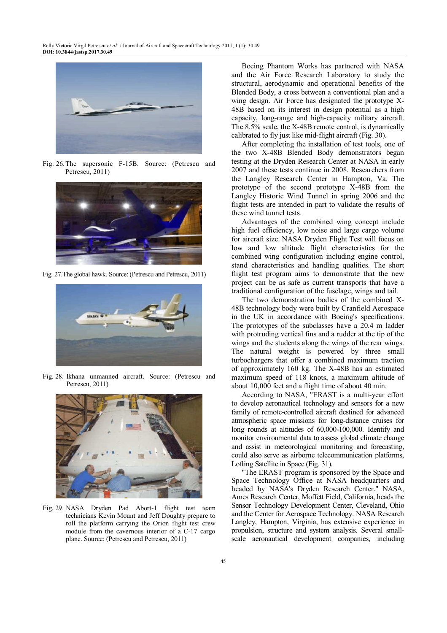

Fig. 26. The supersonic F-15B. Source: (Petrescu and Petrescu, 2011)



Fig. 27.The global hawk. Source: (Petrescu and Petrescu, 2011)



Fig. 28. Ikhana unmanned aircraft. Source: (Petrescu and Petrescu, 2011)



Fig. 29. NASA Dryden Pad Abort-1 flight test team technicians Kevin Mount and Jeff Doughty prepare to roll the platform carrying the Orion flight test crew module from the cavernous interior of a C-17 cargo plane. Source: (Petrescu and Petrescu, 2011)

Boeing Phantom Works has partnered with NASA and the Air Force Research Laboratory to study the structural, aerodynamic and operational benefits of the Blended Body, a cross between a conventional plan and a wing design. Air Force has designated the prototype X-48B based on its interest in design potential as a high capacity, long-range and high-capacity military aircraft. The 8.5% scale, the X-48B remote control, is dynamically calibrated to fly just like mid-flight aircraft (Fig. 30).

After completing the installation of test tools, one of the two X-48B Blended Body demonstrators began testing at the Dryden Research Center at NASA in early 2007 and these tests continue in 2008. Researchers from the Langley Research Center in Hampton, Va. The prototype of the second prototype X-48B from the Langley Historic Wind Tunnel in spring 2006 and the flight tests are intended in part to validate the results of these wind tunnel tests.

Advantages of the combined wing concept include high fuel efficiency, low noise and large cargo volume for aircraft size. NASA Dryden Flight Test will focus on low and low altitude flight characteristics for the combined wing configuration including engine control, stand characteristics and handling qualities. The short flight test program aims to demonstrate that the new project can be as safe as current transports that have a traditional configuration of the fuselage, wings and tail.

The two demonstration bodies of the combined X-48B technology body were built by Cranfield Aerospace in the UK in accordance with Boeing's specifications. The prototypes of the subclasses have a 20.4 m ladder with protruding vertical fins and a rudder at the tip of the wings and the students along the wings of the rear wings. The natural weight is powered by three small turbochargers that offer a combined maximum traction of approximately 160 kg. The X-48B has an estimated maximum speed of 118 knots, a maximum altitude of about 10,000 feet and a flight time of about 40 min.

According to NASA, "ERAST is a multi-year effort to develop aeronautical technology and sensors for a new family of remote-controlled aircraft destined for advanced atmospheric space missions for long-distance cruises for long rounds at altitudes of 60,000-100,000. Identify and monitor environmental data to assess global climate change and assist in meteorological monitoring and forecasting, could also serve as airborne telecommunication platforms, Lofting Satellite in Space (Fig. 31).

"The ERAST program is sponsored by the Space and Space Technology Office at NASA headquarters and headed by NASA's Dryden Research Center." NASA, Ames Research Center, Moffett Field, California, heads the Sensor Technology Development Center, Cleveland, Ohio and the Center for Aerospace Technology. NASA Research Langley, Hampton, Virginia, has extensive experience in propulsion, structure and system analysis. Several smallscale aeronautical development companies, including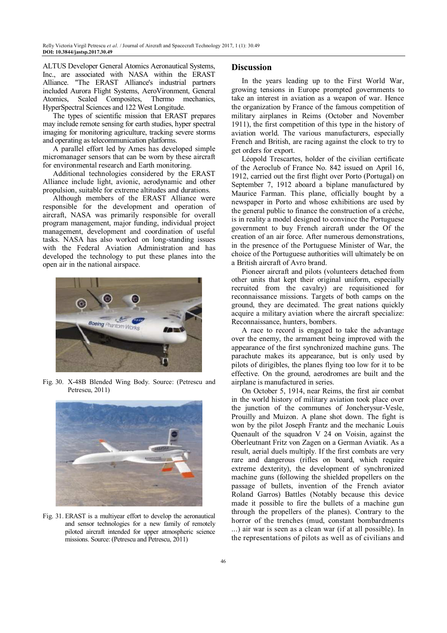ALTUS Developer General Atomics Aeronautical Systems, Inc., are associated with NASA within the ERAST Alliance. "The ERAST Alliance's industrial partners included Aurora Flight Systems, AeroVironment, General Atomics, Scaled Composites, Thermo mechanics, HyperSpectral Sciences and 122 West Longitude.

The types of scientific mission that ERAST prepares may include remote sensing for earth studies, hyper spectral imaging for monitoring agriculture, tracking severe storms and operating as telecommunication platforms.

A parallel effort led by Ames has developed simple micromanager sensors that can be worn by these aircraft for environmental research and Earth monitoring.

Additional technologies considered by the ERAST Alliance include light, avionic, aerodynamic and other propulsion, suitable for extreme altitudes and durations.

Although members of the ERAST Alliance were responsible for the development and operation of aircraft, NASA was primarily responsible for overall program management, major funding, individual project management, development and coordination of useful tasks. NASA has also worked on long-standing issues with the Federal Aviation Administration and has developed the technology to put these planes into the open air in the national airspace.



Fig. 30. X-48B Blended Wing Body. Source: (Petrescu and Petrescu, 2011)



Fig. 31. ERAST is a multiyear effort to develop the aeronautical and sensor technologies for a new family of remotely piloted aircraft intended for upper atmospheric science missions. Source: (Petrescu and Petrescu, 2011)

## **Discussion**

In the years leading up to the First World War, growing tensions in Europe prompted governments to take an interest in aviation as a weapon of war. Hence the organization by France of the famous competition of military airplanes in Reims (October and November 1911), the first competition of this type in the history of aviation world. The various manufacturers, especially French and British, are racing against the clock to try to get orders for export.

Léopold Trescartes, holder of the civilian certificate of the Aeroclub of France No. 842 issued on April 16, 1912, carried out the first flight over Porto (Portugal) on September 7, 1912 aboard a biplane manufactured by Maurice Farman. This plane, officially bought by a newspaper in Porto and whose exhibitions are used by the general public to finance the construction of a crèche, is in reality a model designed to convince the Portuguese government to buy French aircraft under the Of the creation of an air force. After numerous demonstrations, in the presence of the Portuguese Minister of War, the choice of the Portuguese authorities will ultimately be on a British aircraft of Avro brand.

Pioneer aircraft and pilots (volunteers detached from other units that kept their original uniform, especially recruited from the cavalry) are requisitioned for reconnaissance missions. Targets of both camps on the ground, they are decimated. The great nations quickly acquire a military aviation where the aircraft specialize: Reconnaissance, hunters, bombers.

A race to record is engaged to take the advantage over the enemy, the armament being improved with the appearance of the first synchronized machine guns. The parachute makes its appearance, but is only used by pilots of dirigibles, the planes flying too low for it to be effective. On the ground, aerodromes are built and the airplane is manufactured in series.

On October 5, 1914, near Reims, the first air combat in the world history of military aviation took place over the junction of the communes of Joncherysur-Vesle, Prouilly and Muizon. A plane shot down. The fight is won by the pilot Joseph Frantz and the mechanic Louis Quenault of the squadron V 24 on Voisin, against the Oberleutnant Fritz von Zagen on a German Aviatik. As a result, aerial duels multiply. If the first combats are very rare and dangerous (rifles on board, which require extreme dexterity), the development of synchronized machine guns (following the shielded propellers on the passage of bullets, invention of the French aviator Roland Garros) Battles (Notably because this device made it possible to fire the bullets of a machine gun through the propellers of the planes). Contrary to the horror of the trenches (mud, constant bombardments ...) air war is seen as a clean war (if at all possible). In the representations of pilots as well as of civilians and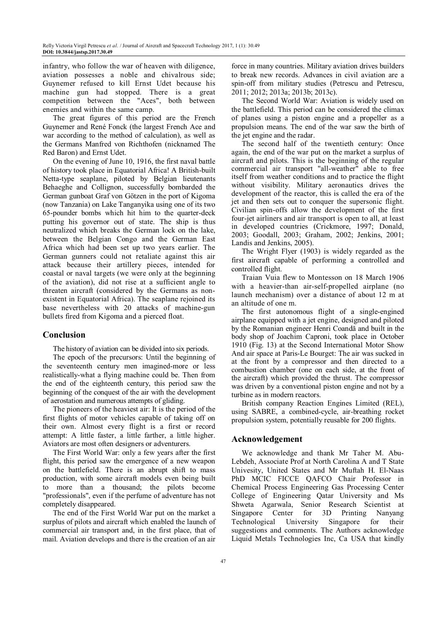infantry, who follow the war of heaven with diligence, aviation possesses a noble and chivalrous side; Guynemer refused to kill Ernst Udet because his machine gun had stopped. There is a great competition between the "Aces", both between enemies and within the same camp.

The great figures of this period are the French Guynemer and René Fonck (the largest French Ace and war according to the method of calculation), as well as the Germans Manfred von Richthofen (nicknamed The Red Baron) and Ernst Udet.

On the evening of June 10, 1916, the first naval battle of history took place in Equatorial Africa! A British-built Netta-type seaplane, piloted by Belgian lieutenants Behaeghe and Collignon, successfully bombarded the German gunboat Graf von Götzen in the port of Kigoma (now Tanzania) on Lake Tanganyika using one of its two 65-pounder bombs which hit him to the quarter-deck putting his governor out of state. The ship is thus neutralized which breaks the German lock on the lake, between the Belgian Congo and the German East Africa which had been set up two years earlier. The German gunners could not retaliate against this air attack because their artillery pieces, intended for coastal or naval targets (we were only at the beginning of the aviation), did not rise at a sufficient angle to threaten aircraft (considered by the Germans as nonexistent in Equatorial Africa). The seaplane rejoined its base nevertheless with 20 attacks of machine-gun bullets fired from Kigoma and a pierced float.

# **Conclusion**

The history of aviation can be divided into six periods.

The epoch of the precursors: Until the beginning of the seventeenth century men imagined-more or less realistically-what a flying machine could be. Then from the end of the eighteenth century, this period saw the beginning of the conquest of the air with the development of aerostation and numerous attempts of gliding.

The pioneers of the heaviest air: It is the period of the first flights of motor vehicles capable of taking off on their own. Almost every flight is a first or record attempt: A little faster, a little farther, a little higher. Aviators are most often designers or adventurers.

The First World War: only a few years after the first flight, this period saw the emergence of a new weapon on the battlefield. There is an abrupt shift to mass production, with some aircraft models even being built to more than a thousand; the pilots become "professionals", even if the perfume of adventure has not completely disappeared.

The end of the First World War put on the market a surplus of pilots and aircraft which enabled the launch of commercial air transport and, in the first place, that of mail. Aviation develops and there is the creation of an air

force in many countries. Military aviation drives builders to break new records. Advances in civil aviation are a spin-off from military studies (Petrescu and Petrescu, 2011; 2012; 2013a; 2013b; 2013c).

The Second World War: Aviation is widely used on the battlefield. This period can be considered the climax of planes using a piston engine and a propeller as a propulsion means. The end of the war saw the birth of the jet engine and the radar.

The second half of the twentieth century: Once again, the end of the war put on the market a surplus of aircraft and pilots. This is the beginning of the regular commercial air transport "all-weather" able to free itself from weather conditions and to practice the flight without visibility. Military aeronautics drives the development of the reactor, this is called the era of the jet and then sets out to conquer the supersonic flight. Civilian spin-offs allow the development of the first four-jet airliners and air transport is open to all, at least in developed countries (Crickmore, 1997; Donald, 2003; Goodall, 2003; Graham, 2002; Jenkins, 2001; Landis and Jenkins, 2005).

The Wright Flyer (1903) is widely regarded as the first aircraft capable of performing a controlled and controlled flight.

Traian Vuia flew to Montesson on 18 March 1906 with a heavier-than air-self-propelled airplane (no launch mechanism) over a distance of about 12 m at an altitude of one m.

The first autonomous flight of a single-engined airplane equipped with a jet engine, designed and piloted by the Romanian engineer Henri Coandă and built in the body shop of Joachim Caproni, took place in October 1910 (Fig. 13) at the Second International Motor Show And air space at Paris-Le Bourget: The air was sucked in at the front by a compressor and then directed to a combustion chamber (one on each side, at the front of the aircraft) which provided the thrust. The compressor was driven by a conventional piston engine and not by a turbine as in modern reactors.

British company Reaction Engines Limited (REL), using SABRE, a combined-cycle, air-breathing rocket propulsion system, potentially reusable for 200 flights.

#### **Acknowledgement**

We acknowledge and thank Mr Taher M. Abu-Lebdeh, Associate Prof at North Carolina A and T State Univesity, United States and Mr Muftah H. El-Naas PhD MCIC FICCE QAFCO Chair Professor in Chemical Process Engineering Gas Processing Center College of Engineering Qatar University and Ms Shweta Agarwala, Senior Research Scientist at Singapore Center for 3D Printing Nanyang Technological University Singapore for their suggestions and comments. The Authors acknowledge Liquid Metals Technologies Inc, Ca USA that kindly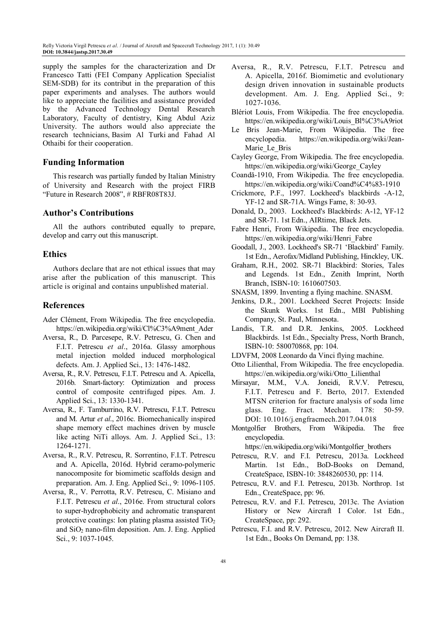supply the samples for the characterization and Dr Francesco Tatti (FEI Company Application Specialist SEM-SDB) for its contribut in the preparation of this paper experiments and analyses. The authors would like to appreciate the facilities and assistance provided by the Advanced Technology Dental Research Laboratory, Faculty of dentistry, King Abdul Aziz University. The authors would also appreciate the research technicians, Basim Al Turki and Fahad Al Othaibi for their cooperation.

# **Funding Information**

This research was partially funded by Italian Ministry of University and Research with the project FIRB "Future in Research 2008", # RBFR08T83J.

## **Author's Contributions**

All the authors contributed equally to prepare, develop and carry out this manuscript.

## **Ethics**

Authors declare that are not ethical issues that may arise after the publication of this manuscript. This article is original and contains unpublished material.

## **References**

- Ader Clément, From Wikipedia. The free encyclopedia. https://en.wikipedia.org/wiki/Cl%C3%A9ment\_Ader
- Aversa, R., D. Parcesepe, R.V. Petrescu, G. Chen and F.I.T. Petrescu *et al*., 2016a. Glassy amorphous metal injection molded induced morphological defects. Am. J. Applied Sci., 13: 1476-1482.
- Aversa, R., R.V. Petrescu, F.I.T. Petrescu and A. Apicella, 2016b. Smart-factory: Optimization and process control of composite centrifuged pipes. Am. J. Applied Sci., 13: 1330-1341.
- Aversa, R., F. Tamburrino, R.V. Petrescu, F.I.T. Petrescu and M. Artur *et al*., 2016c. Biomechanically inspired shape memory effect machines driven by muscle like acting NiTi alloys. Am. J. Applied Sci., 13: 1264-1271.
- Aversa, R., R.V. Petrescu, R. Sorrentino, F.I.T. Petrescu and A. Apicella, 2016d. Hybrid ceramo-polymeric nanocomposite for biomimetic scaffolds design and preparation. Am. J. Eng. Applied Sci., 9: 1096-1105.
- Aversa, R., V. Perrotta, R.V. Petrescu, C. Misiano and F.I.T. Petrescu *et al*., 2016e. From structural colors to super-hydrophobicity and achromatic transparent protective coatings: Ion plating plasma assisted  $TiO<sub>2</sub>$ and  $SiO<sub>2</sub>$  nano-film deposition. Am. J. Eng. Applied Sci., 9: 1037-1045.
- Aversa, R., R.V. Petrescu, F.I.T. Petrescu and A. Apicella, 2016f. Biomimetic and evolutionary design driven innovation in sustainable products development. Am. J. Eng. Applied Sci., 9: 1027-1036.
- Blériot Louis, From Wikipedia. The free encyclopedia. https://en.wikipedia.org/wiki/Louis\_Bl%C3%A9riot
- Le Bris Jean-Marie, From Wikipedia. The free encyclopedia. https://en.wikipedia.org/wiki/Jean-Marie Le Bris
- Cayley George, From Wikipedia. The free encyclopedia. https://en.wikipedia.org/wiki/George\_Cayley
- Coandă-1910, From Wikipedia. The free encyclopedia. https://en.wikipedia.org/wiki/Coand%C4%83-1910
- Crickmore, P.F., 1997. Lockheed's blackbirds -A-12, YF-12 and SR-71A. Wings Fame, 8: 30-93.
- Donald, D., 2003. Lockheed's Blackbirds: A-12, YF-12 and SR-71. 1st Edn., AIRtime, Black Jets.
- Fabre Henri, From Wikipedia. The free encyclopedia. https://en.wikipedia.org/wiki/Henri\_Fabre
- Goodall, J., 2003. Lockheed's SR-71 'Blackbird' Family. 1st Edn., Aerofax/Midland Publishing, Hinckley, UK.
- Graham, R.H., 2002. SR-71 Blackbird: Stories, Tales and Legends. 1st Edn., Zenith Imprint, North Branch, ISBN-10: 1610607503.
- SNASM, 1899. Inventing a flying machine. SNASM.
- Jenkins, D.R., 2001. Lockheed Secret Projects: Inside the Skunk Works. 1st Edn., MBI Publishing Company, St. Paul, Minnesota.
- Landis, T.R. and D.R. Jenkins, 2005. Lockheed Blackbirds. 1st Edn., Specialty Press, North Branch, ISBN-10: 580070868, pp: 104.
- LDVFM, 2008 Leonardo da Vinci flying machine.
- Otto Lilienthal, From Wikipedia. The free encyclopedia. https://en.wikipedia.org/wiki/Otto\_Lilienthal
- Mirsayar, M.M., V.A. Joneidi, R.V.V. Petrescu, F.I.T. Petrescu and F. Berto, 2017. Extended MTSN criterion for fracture analysis of soda lime glass. Eng. Fract. Mechan. 178: 50-59. DOI: 10.1016/j.engfracmech.2017.04.018
- Montgolfier Brothers, From Wikipedia. The free encyclopedia.

https://en.wikipedia.org/wiki/Montgolfier\_brothers

- Petrescu, R.V. and F.I. Petrescu, 2013a. Lockheed Martin. 1st Edn., BoD-Books on Demand, CreateSpace, ISBN-10: 3848260530, pp: 114.
- Petrescu, R.V. and F.I. Petrescu, 2013b. Northrop. 1st Edn., CreateSpace, pp: 96.
- Petrescu, R.V. and F.I. Petrescu, 2013c. The Aviation History or New Aircraft I Color. 1st Edn., CreateSpace, pp: 292.
- Petrescu, F.I. and R.V. Petrescu, 2012. New Aircraft II. 1st Edn., Books On Demand, pp: 138.